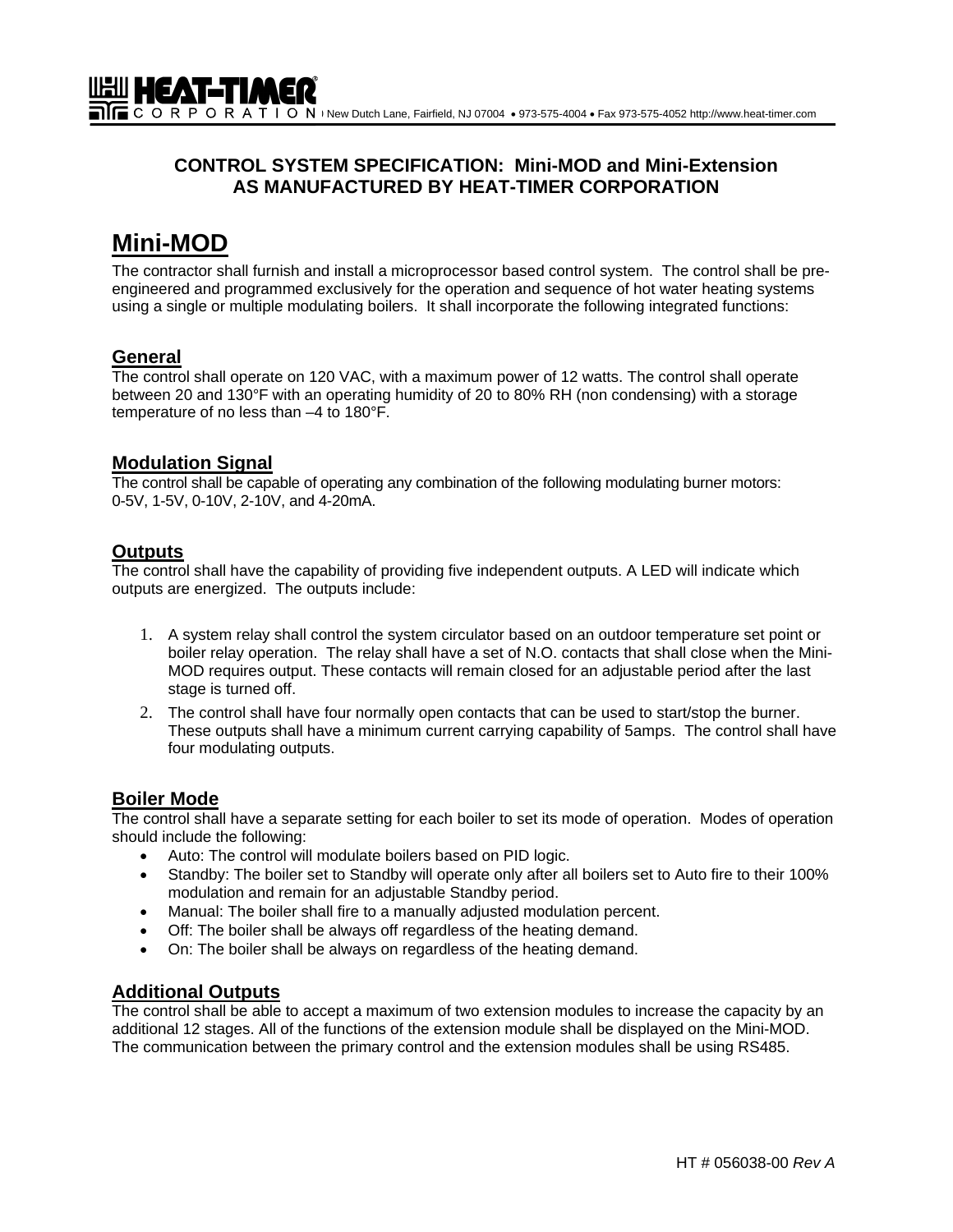# **CONTROL SYSTEM SPECIFICATION: Mini-MOD and Mini-Extension AS MANUFACTURED BY HEAT-TIMER CORPORATION**

# **Mini-MOD**

The contractor shall furnish and install a microprocessor based control system. The control shall be preengineered and programmed exclusively for the operation and sequence of hot water heating systems using a single or multiple modulating boilers. It shall incorporate the following integrated functions:

# **General**

The control shall operate on 120 VAC, with a maximum power of 12 watts. The control shall operate between 20 and 130°F with an operating humidity of 20 to 80% RH (non condensing) with a storage temperature of no less than –4 to 180°F.

## **Modulation Signal**

The control shall be capable of operating any combination of the following modulating burner motors: 0-5V, 1-5V, 0-10V, 2-10V, and 4-20mA.

# **Outputs**

The control shall have the capability of providing five independent outputs. A LED will indicate which outputs are energized. The outputs include:

- 1. A system relay shall control the system circulator based on an outdoor temperature set point or boiler relay operation. The relay shall have a set of N.O. contacts that shall close when the Mini-MOD requires output. These contacts will remain closed for an adjustable period after the last stage is turned off.
- 2. The control shall have four normally open contacts that can be used to start/stop the burner. These outputs shall have a minimum current carrying capability of 5amps. The control shall have four modulating outputs.

# **Boiler Mode**

The control shall have a separate setting for each boiler to set its mode of operation. Modes of operation should include the following:

- Auto: The control will modulate boilers based on PID logic.
- Standby: The boiler set to Standby will operate only after all boilers set to Auto fire to their 100% modulation and remain for an adjustable Standby period.
- Manual: The boiler shall fire to a manually adjusted modulation percent.
- Off: The boiler shall be always off regardless of the heating demand.
- On: The boiler shall be always on regardless of the heating demand.

# **Additional Outputs**

The control shall be able to accept a maximum of two extension modules to increase the capacity by an additional 12 stages. All of the functions of the extension module shall be displayed on the Mini-MOD. The communication between the primary control and the extension modules shall be using RS485.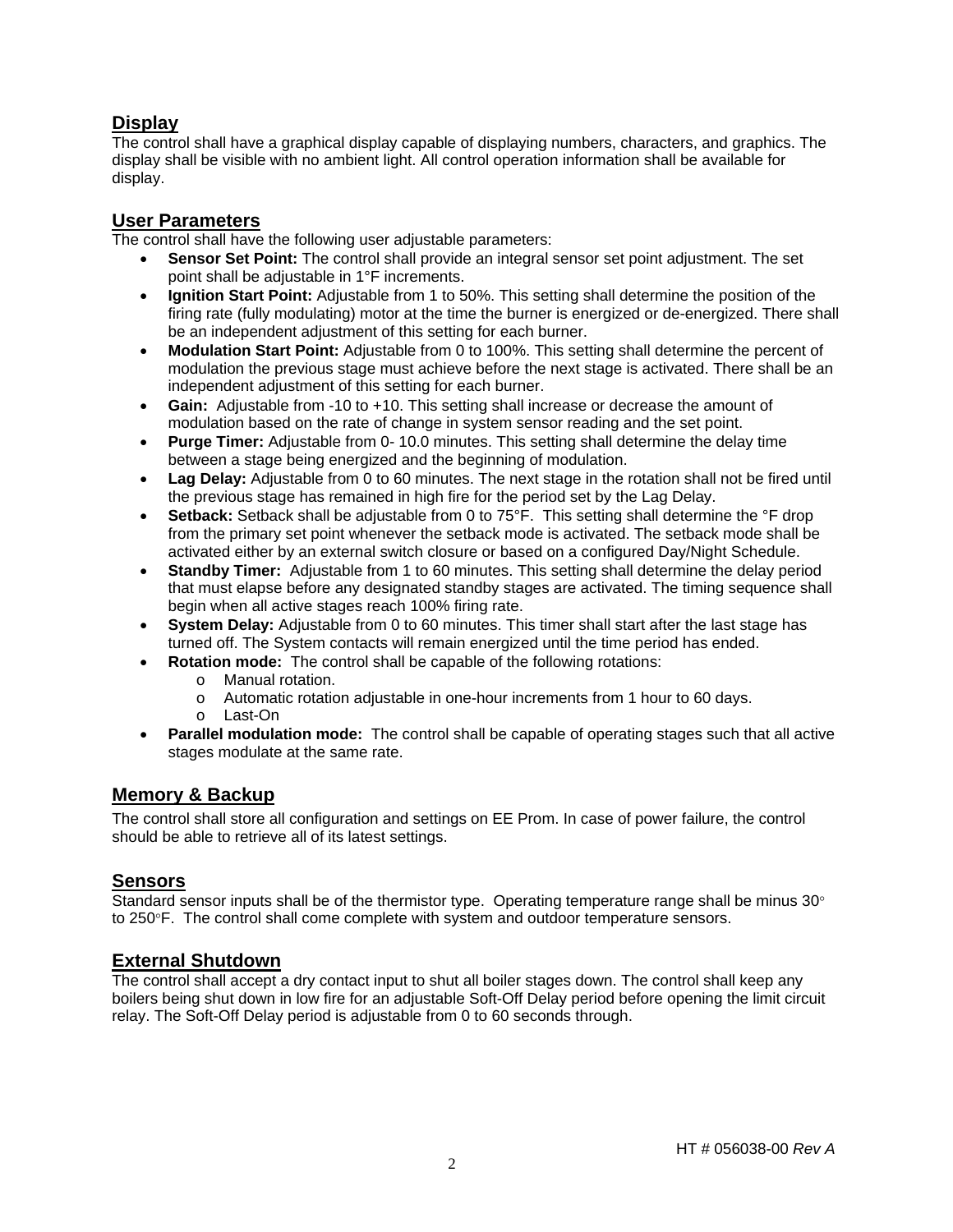# **Display**

The control shall have a graphical display capable of displaying numbers, characters, and graphics. The display shall be visible with no ambient light. All control operation information shall be available for display.

# **User Parameters**

The control shall have the following user adjustable parameters:

- **Sensor Set Point:** The control shall provide an integral sensor set point adjustment. The set point shall be adjustable in 1°F increments.
- **Ignition Start Point:** Adjustable from 1 to 50%. This setting shall determine the position of the firing rate (fully modulating) motor at the time the burner is energized or de-energized. There shall be an independent adjustment of this setting for each burner.
- **Modulation Start Point:** Adjustable from 0 to 100%. This setting shall determine the percent of modulation the previous stage must achieve before the next stage is activated. There shall be an independent adjustment of this setting for each burner.
- **Gain:** Adjustable from -10 to +10. This setting shall increase or decrease the amount of modulation based on the rate of change in system sensor reading and the set point.
- **Purge Timer:** Adjustable from 0- 10.0 minutes. This setting shall determine the delay time between a stage being energized and the beginning of modulation.
- **Lag Delay:** Adjustable from 0 to 60 minutes. The next stage in the rotation shall not be fired until the previous stage has remained in high fire for the period set by the Lag Delay.
- **Setback:** Setback shall be adjustable from 0 to 75°F. This setting shall determine the °F drop from the primary set point whenever the setback mode is activated. The setback mode shall be activated either by an external switch closure or based on a configured Day/Night Schedule.
- **Standby Timer:** Adjustable from 1 to 60 minutes. This setting shall determine the delay period that must elapse before any designated standby stages are activated. The timing sequence shall begin when all active stages reach 100% firing rate.
- **System Delay:** Adjustable from 0 to 60 minutes. This timer shall start after the last stage has turned off. The System contacts will remain energized until the time period has ended.
- **Rotation mode:** The control shall be capable of the following rotations:
	- o Manual rotation.
	- o Automatic rotation adjustable in one-hour increments from 1 hour to 60 days.
	- o Last-On
- **Parallel modulation mode:** The control shall be capable of operating stages such that all active stages modulate at the same rate.

## **Memory & Backup**

The control shall store all configuration and settings on EE Prom. In case of power failure, the control should be able to retrieve all of its latest settings.

## **Sensors**

Standard sensor inputs shall be of the thermistor type. Operating temperature range shall be minus 30° to 250°F. The control shall come complete with system and outdoor temperature sensors.

## **External Shutdown**

The control shall accept a dry contact input to shut all boiler stages down. The control shall keep any boilers being shut down in low fire for an adjustable Soft-Off Delay period before opening the limit circuit relay. The Soft-Off Delay period is adjustable from 0 to 60 seconds through.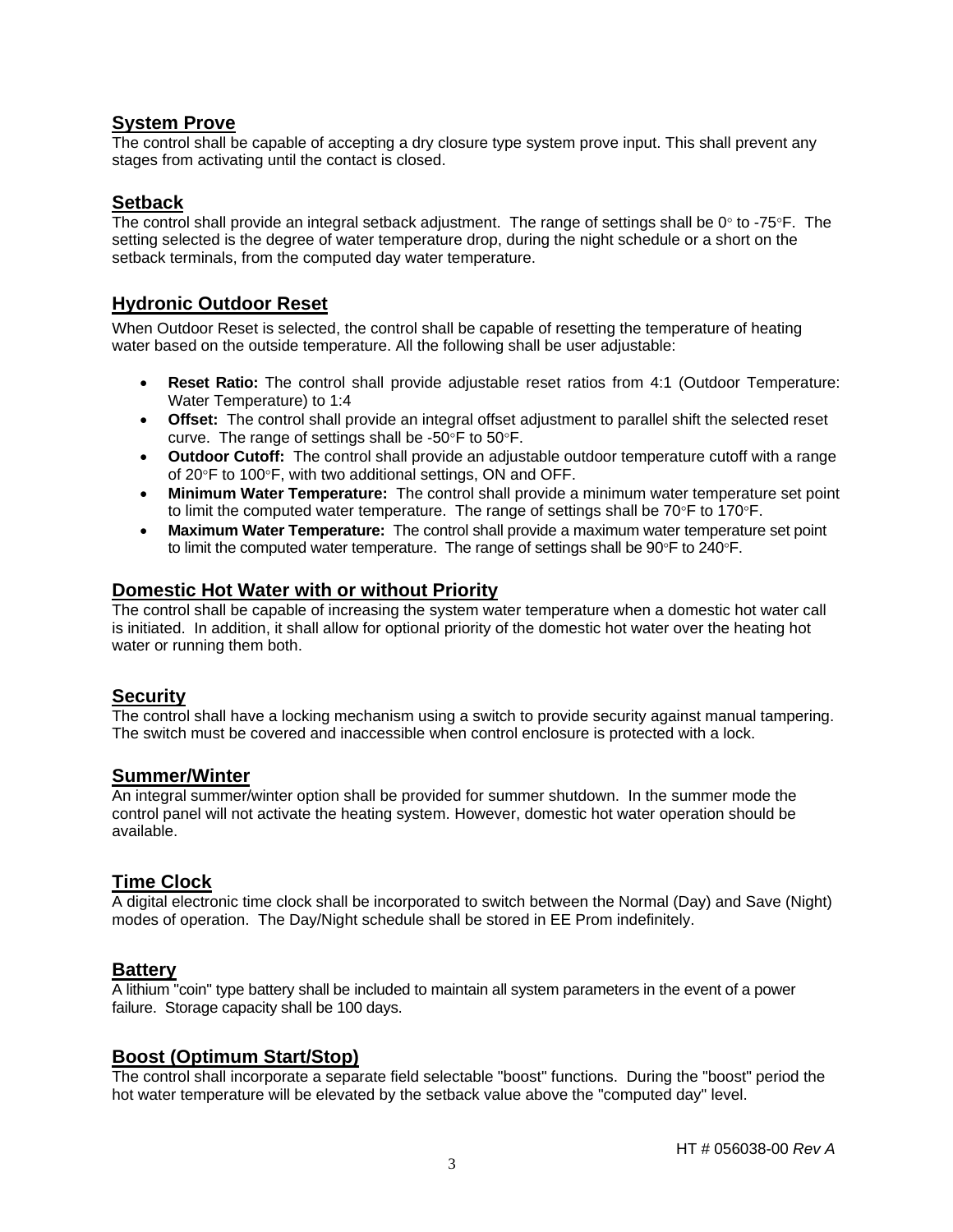## **System Prove**

The control shall be capable of accepting a dry closure type system prove input. This shall prevent any stages from activating until the contact is closed.

### **Setback**

The control shall provide an integral setback adjustment. The range of settings shall be  $0^\circ$  to -75°F. The setting selected is the degree of water temperature drop, during the night schedule or a short on the setback terminals, from the computed day water temperature.

## **Hydronic Outdoor Reset**

When Outdoor Reset is selected, the control shall be capable of resetting the temperature of heating water based on the outside temperature. All the following shall be user adjustable:

- **Reset Ratio:** The control shall provide adjustable reset ratios from 4:1 (Outdoor Temperature: Water Temperature) to 1:4
- **Offset:** The control shall provide an integral offset adjustment to parallel shift the selected reset curve. The range of settings shall be -50 $\degree$ F to 50 $\degree$ F.
- **Outdoor Cutoff:** The control shall provide an adjustable outdoor temperature cutoff with a range of 20°F to 100°F, with two additional settings, ON and OFF.
- **Minimum Water Temperature:** The control shall provide a minimum water temperature set point to limit the computed water temperature. The range of settings shall be  $70^{\circ}$ F to  $170^{\circ}$ F.
- **Maximum Water Temperature:** The control shall provide a maximum water temperature set point to limit the computed water temperature. The range of settings shall be  $90^{\circ}$ F to  $240^{\circ}$ F.

#### **Domestic Hot Water with or without Priority**

The control shall be capable of increasing the system water temperature when a domestic hot water call is initiated. In addition, it shall allow for optional priority of the domestic hot water over the heating hot water or running them both.

# **Security**

The control shall have a locking mechanism using a switch to provide security against manual tampering. The switch must be covered and inaccessible when control enclosure is protected with a lock.

#### **Summer/Winter**

An integral summer/winter option shall be provided for summer shutdown. In the summer mode the control panel will not activate the heating system. However, domestic hot water operation should be available.

#### **Time Clock**

A digital electronic time clock shall be incorporated to switch between the Normal (Day) and Save (Night) modes of operation. The Day/Night schedule shall be stored in EE Prom indefinitely.

#### **Battery**

A lithium "coin" type battery shall be included to maintain all system parameters in the event of a power failure. Storage capacity shall be 100 days.

#### **Boost (Optimum Start/Stop)**

The control shall incorporate a separate field selectable "boost" functions. During the "boost" period the hot water temperature will be elevated by the setback value above the "computed day" level.